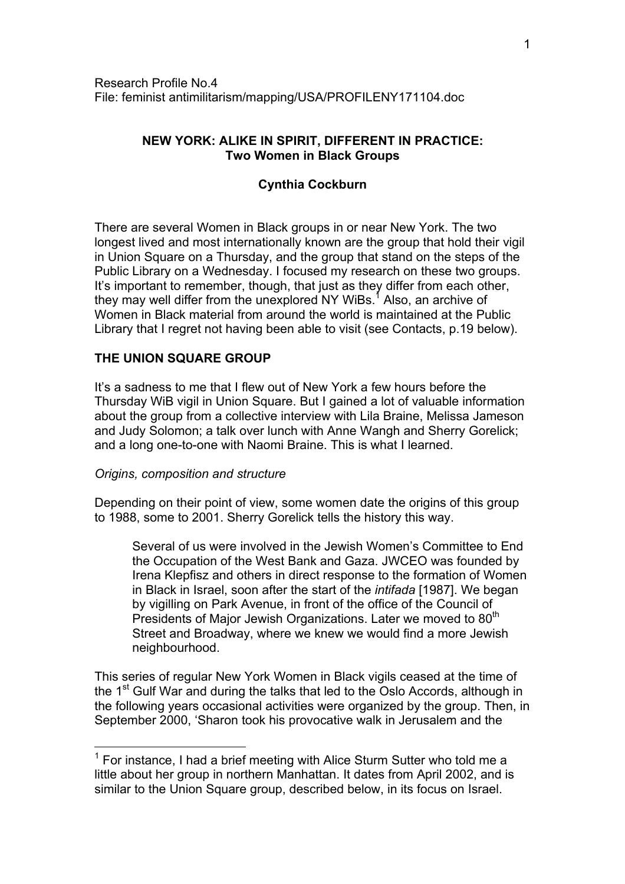# **NEW YORK: ALIKE IN SPIRIT, DIFFERENT IN PRACTICE: Two Women in Black Groups**

# **Cynthia Cockburn**

There are several Women in Black groups in or near New York. The two longest lived and most internationally known are the group that hold their vigil in Union Square on a Thursday, and the group that stand on the steps of the Public Library on a Wednesday. I focused my research on these two groups. It's important to remember, though, that just as they differ from each other, they may well differ from the unexplored NY WiBs.<sup>[1](#page-0-0)</sup> Also, an archive of Women in Black material from around the world is maintained at the Public Library that I regret not having been able to visit (see Contacts, p.19 below).

## **THE UNION SQUARE GROUP**

It's a sadness to me that I flew out of New York a few hours before the Thursday WiB vigil in Union Square. But I gained a lot of valuable information about the group from a collective interview with Lila Braine, Melissa Jameson and Judy Solomon; a talk over lunch with Anne Wangh and Sherry Gorelick; and a long one-to-one with Naomi Braine. This is what I learned.

### *Origins, composition and structure*

 $\overline{a}$ 

Depending on their point of view, some women date the origins of this group to 1988, some to 2001. Sherry Gorelick tells the history this way.

Several of us were involved in the Jewish Women's Committee to End the Occupation of the West Bank and Gaza. JWCEO was founded by Irena Klepfisz and others in direct response to the formation of Women in Black in Israel, soon after the start of the *intifada* [1987]. We began by vigilling on Park Avenue, in front of the office of the Council of Presidents of Major Jewish Organizations. Later we moved to 80<sup>th</sup> Street and Broadway, where we knew we would find a more Jewish neighbourhood.

This series of regular New York Women in Black vigils ceased at the time of the 1<sup>st</sup> Gulf War and during the talks that led to the Oslo Accords, although in the following years occasional activities were organized by the group. Then, in September 2000, 'Sharon took his provocative walk in Jerusalem and the

<span id="page-0-0"></span> $1$  For instance, I had a brief meeting with Alice Sturm Sutter who told me a little about her group in northern Manhattan. It dates from April 2002, and is similar to the Union Square group, described below, in its focus on Israel.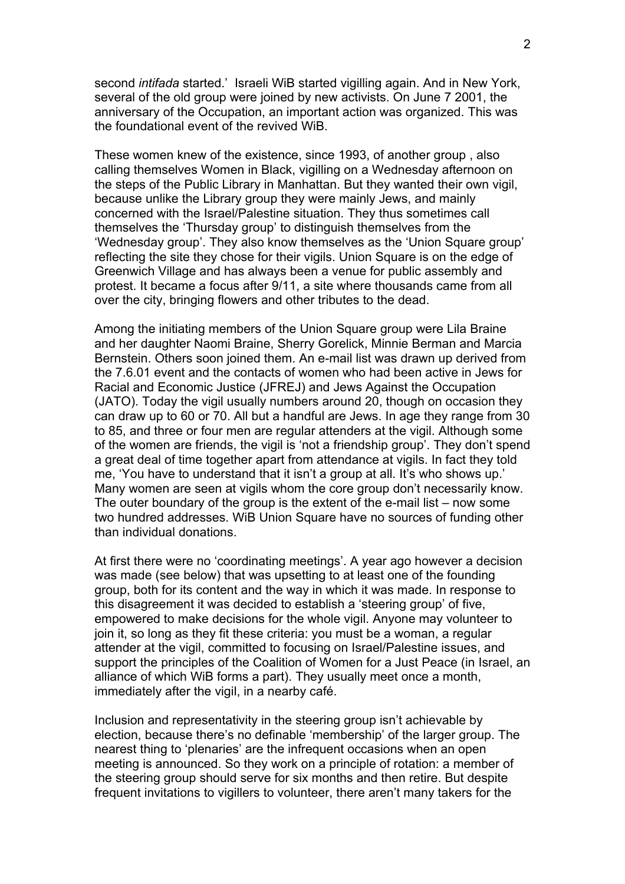second *intifada* started.' Israeli WiB started vigilling again. And in New York, several of the old group were joined by new activists. On June 7 2001, the anniversary of the Occupation, an important action was organized. This was the foundational event of the revived WiB.

These women knew of the existence, since 1993, of another group , also calling themselves Women in Black, vigilling on a Wednesday afternoon on the steps of the Public Library in Manhattan. But they wanted their own vigil, because unlike the Library group they were mainly Jews, and mainly concerned with the Israel/Palestine situation. They thus sometimes call themselves the 'Thursday group' to distinguish themselves from the 'Wednesday group'. They also know themselves as the 'Union Square group' reflecting the site they chose for their vigils. Union Square is on the edge of Greenwich Village and has always been a venue for public assembly and protest. It became a focus after 9/11, a site where thousands came from all over the city, bringing flowers and other tributes to the dead.

Among the initiating members of the Union Square group were Lila Braine and her daughter Naomi Braine, Sherry Gorelick, Minnie Berman and Marcia Bernstein. Others soon joined them. An e-mail list was drawn up derived from the 7.6.01 event and the contacts of women who had been active in Jews for Racial and Economic Justice (JFREJ) and Jews Against the Occupation (JATO). Today the vigil usually numbers around 20, though on occasion they can draw up to 60 or 70. All but a handful are Jews. In age they range from 30 to 85, and three or four men are regular attenders at the vigil. Although some of the women are friends, the vigil is 'not a friendship group'. They don't spend a great deal of time together apart from attendance at vigils. In fact they told me, 'You have to understand that it isn't a group at all. It's who shows up.' Many women are seen at vigils whom the core group don't necessarily know. The outer boundary of the group is the extent of the e-mail list – now some two hundred addresses. WiB Union Square have no sources of funding other than individual donations.

At first there were no 'coordinating meetings'. A year ago however a decision was made (see below) that was upsetting to at least one of the founding group, both for its content and the way in which it was made. In response to this disagreement it was decided to establish a 'steering group' of five, empowered to make decisions for the whole vigil. Anyone may volunteer to join it, so long as they fit these criteria: you must be a woman, a regular attender at the vigil, committed to focusing on Israel/Palestine issues, and support the principles of the Coalition of Women for a Just Peace (in Israel, an alliance of which WiB forms a part). They usually meet once a month, immediately after the vigil, in a nearby café.

Inclusion and representativity in the steering group isn't achievable by election, because there's no definable 'membership' of the larger group. The nearest thing to 'plenaries' are the infrequent occasions when an open meeting is announced. So they work on a principle of rotation: a member of the steering group should serve for six months and then retire. But despite frequent invitations to vigillers to volunteer, there aren't many takers for the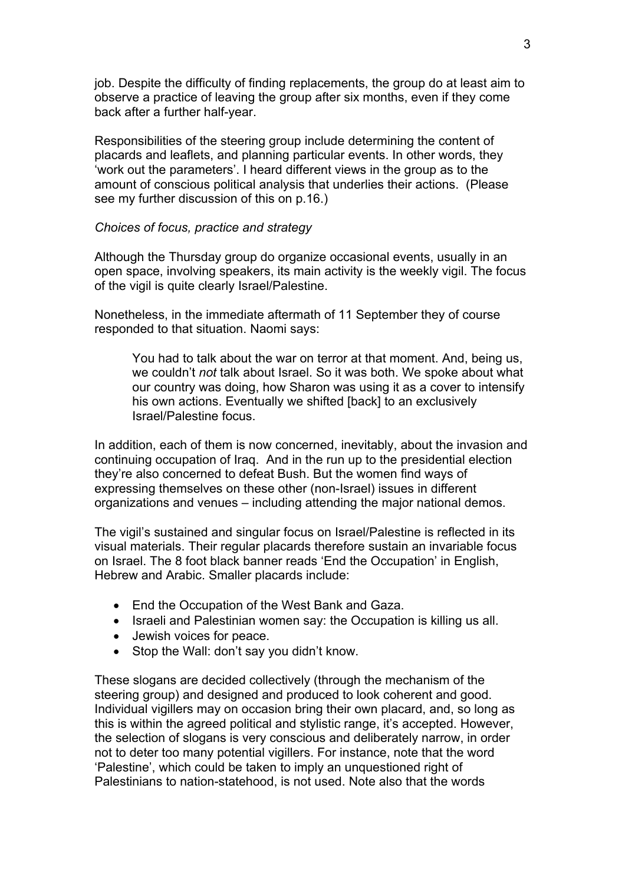job. Despite the difficulty of finding replacements, the group do at least aim to observe a practice of leaving the group after six months, even if they come back after a further half-year.

Responsibilities of the steering group include determining the content of placards and leaflets, and planning particular events. In other words, they 'work out the parameters'. I heard different views in the group as to the amount of conscious political analysis that underlies their actions. (Please see my further discussion of this on p.16.)

### *Choices of focus, practice and strategy*

Although the Thursday group do organize occasional events, usually in an open space, involving speakers, its main activity is the weekly vigil. The focus of the vigil is quite clearly Israel/Palestine.

Nonetheless, in the immediate aftermath of 11 September they of course responded to that situation. Naomi says:

You had to talk about the war on terror at that moment. And, being us, we couldn't *not* talk about Israel. So it was both. We spoke about what our country was doing, how Sharon was using it as a cover to intensify his own actions. Eventually we shifted [back] to an exclusively Israel/Palestine focus.

In addition, each of them is now concerned, inevitably, about the invasion and continuing occupation of Iraq. And in the run up to the presidential election they're also concerned to defeat Bush. But the women find ways of expressing themselves on these other (non-Israel) issues in different organizations and venues – including attending the major national demos.

The vigil's sustained and singular focus on Israel/Palestine is reflected in its visual materials. Their regular placards therefore sustain an invariable focus on Israel. The 8 foot black banner reads 'End the Occupation' in English, Hebrew and Arabic. Smaller placards include:

- End the Occupation of the West Bank and Gaza.
- Israeli and Palestinian women say: the Occupation is killing us all.
- Jewish voices for peace.
- Stop the Wall: don't say you didn't know.

These slogans are decided collectively (through the mechanism of the steering group) and designed and produced to look coherent and good. Individual vigillers may on occasion bring their own placard, and, so long as this is within the agreed political and stylistic range, it's accepted. However, the selection of slogans is very conscious and deliberately narrow, in order not to deter too many potential vigillers. For instance, note that the word 'Palestine', which could be taken to imply an unquestioned right of Palestinians to nation-statehood, is not used. Note also that the words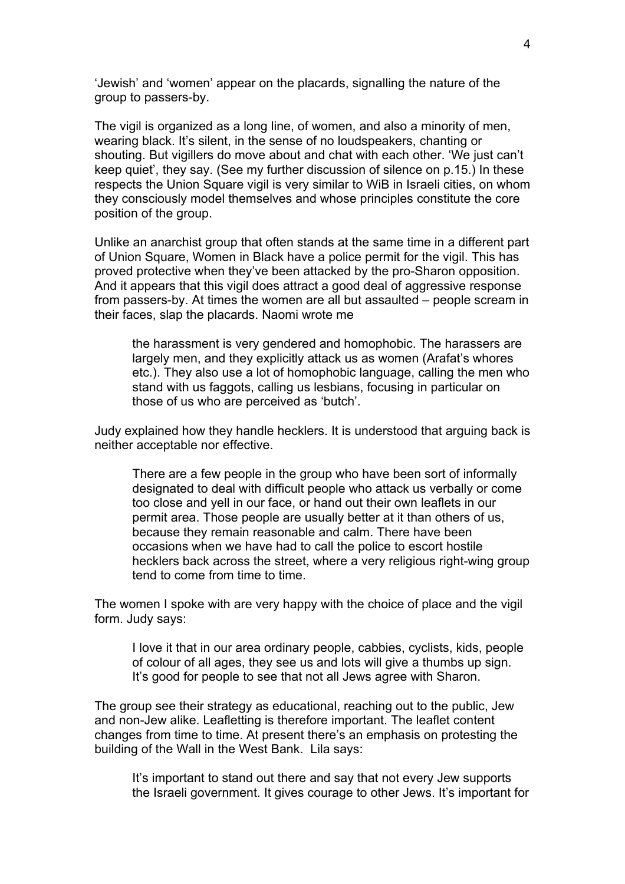'Jewish' and 'women' appear on the placards, signalling the nature of the group to passers-by.

The vigil is organized as a long line, of women, and also a minority of men, wearing black. It's silent, in the sense of no loudspeakers, chanting or shouting. But vigillers do move about and chat with each other. 'We just can't keep quiet', they say. (See my further discussion of silence on p.15.) In these respects the Union Square vigil is very similar to WiB in Israeli cities, on whom they consciously model themselves and whose principles constitute the core position of the group.

Unlike an anarchist group that often stands at the same time in a different part of Union Square, Women in Black have a police permit for the vigil. This has proved protective when they've been attacked by the pro-Sharon opposition. And it appears that this vigil does attract a good deal of aggressive response from passers-by. At times the women are all but assaulted – people scream in their faces, slap the placards. Naomi wrote me

the harassment is very gendered and homophobic. The harassers are largely men, and they explicitly attack us as women (Arafat's whores etc.). They also use a lot of homophobic language, calling the men who stand with us faggots, calling us lesbians, focusing in particular on those of us who are perceived as 'butch'.

Judy explained how they handle hecklers. It is understood that arguing back is neither acceptable nor effective.

There are a few people in the group who have been sort of informally designated to deal with difficult people who attack us verbally or come too close and yell in our face, or hand out their own leaflets in our permit area. Those people are usually better at it than others of us, because they remain reasonable and calm. There have been occasions when we have had to call the police to escort hostile hecklers back across the street, where a very religious right-wing group tend to come from time to time.

The women I spoke with are very happy with the choice of place and the vigil form. Judy says:

I love it that in our area ordinary people, cabbies, cyclists, kids, people of colour of all ages, they see us and lots will give a thumbs up sign. It's good for people to see that not all Jews agree with Sharon.

The group see their strategy as educational, reaching out to the public, Jew and non-Jew alike. Leafletting is therefore important. The leaflet content changes from time to time. At present there's an emphasis on protesting the building of the Wall in the West Bank. Lila says:

It's important to stand out there and say that not every Jew supports the Israeli government. It gives courage to other Jews. It's important for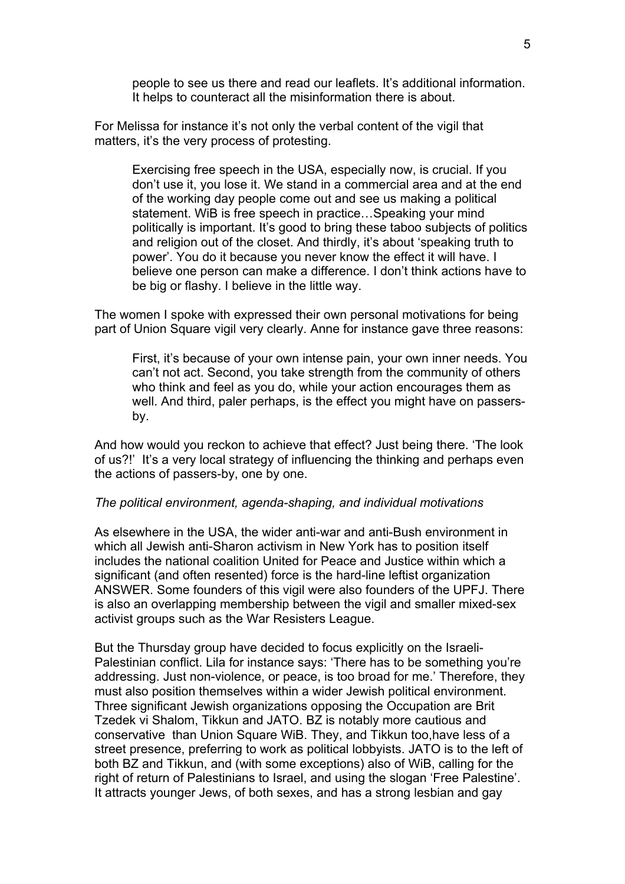people to see us there and read our leaflets. It's additional information. It helps to counteract all the misinformation there is about.

For Melissa for instance it's not only the verbal content of the vigil that matters, it's the very process of protesting.

Exercising free speech in the USA, especially now, is crucial. If you don't use it, you lose it. We stand in a commercial area and at the end of the working day people come out and see us making a political statement. WiB is free speech in practice…Speaking your mind politically is important. It's good to bring these taboo subjects of politics and religion out of the closet. And thirdly, it's about 'speaking truth to power'. You do it because you never know the effect it will have. I believe one person can make a difference. I don't think actions have to be big or flashy. I believe in the little way.

The women I spoke with expressed their own personal motivations for being part of Union Square vigil very clearly. Anne for instance gave three reasons:

First, it's because of your own intense pain, your own inner needs. You can't not act. Second, you take strength from the community of others who think and feel as you do, while your action encourages them as well. And third, paler perhaps, is the effect you might have on passersby.

And how would you reckon to achieve that effect? Just being there. 'The look of us?!' It's a very local strategy of influencing the thinking and perhaps even the actions of passers-by, one by one.

#### *The political environment, agenda-shaping, and individual motivations*

As elsewhere in the USA, the wider anti-war and anti-Bush environment in which all Jewish anti-Sharon activism in New York has to position itself includes the national coalition United for Peace and Justice within which a significant (and often resented) force is the hard-line leftist organization ANSWER. Some founders of this vigil were also founders of the UPFJ. There is also an overlapping membership between the vigil and smaller mixed-sex activist groups such as the War Resisters League.

But the Thursday group have decided to focus explicitly on the Israeli-Palestinian conflict. Lila for instance says: 'There has to be something you're addressing. Just non-violence, or peace, is too broad for me.' Therefore, they must also position themselves within a wider Jewish political environment. Three significant Jewish organizations opposing the Occupation are Brit Tzedek vi Shalom, Tikkun and JATO. BZ is notably more cautious and conservative than Union Square WiB. They, and Tikkun too,have less of a street presence, preferring to work as political lobbyists. JATO is to the left of both BZ and Tikkun, and (with some exceptions) also of WiB, calling for the right of return of Palestinians to Israel, and using the slogan 'Free Palestine'. It attracts younger Jews, of both sexes, and has a strong lesbian and gay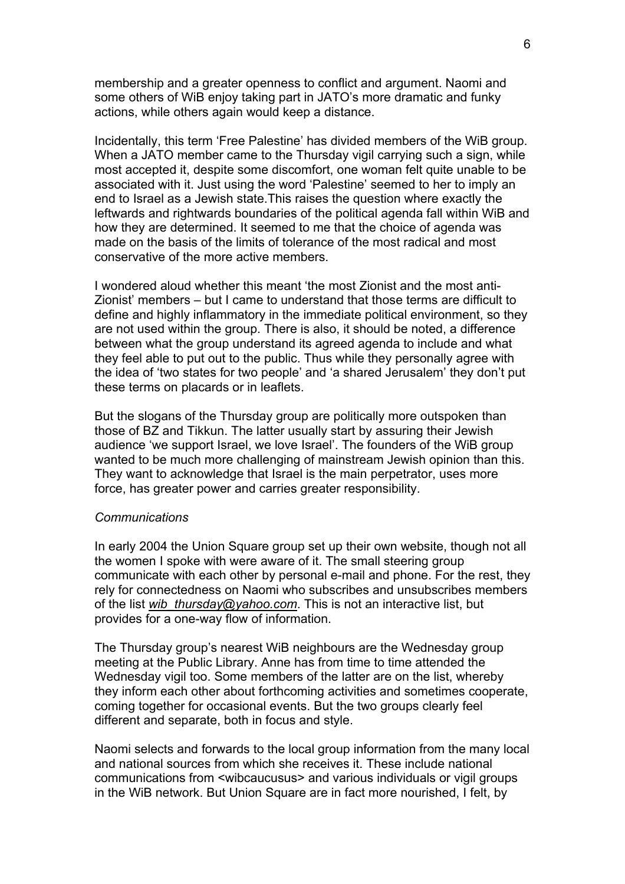membership and a greater openness to conflict and argument. Naomi and some others of WiB enjoy taking part in JATO's more dramatic and funky actions, while others again would keep a distance.

Incidentally, this term 'Free Palestine' has divided members of the WiB group. When a JATO member came to the Thursday vigil carrying such a sign, while most accepted it, despite some discomfort, one woman felt quite unable to be associated with it. Just using the word 'Palestine' seemed to her to imply an end to Israel as a Jewish state.This raises the question where exactly the leftwards and rightwards boundaries of the political agenda fall within WiB and how they are determined. It seemed to me that the choice of agenda was made on the basis of the limits of tolerance of the most radical and most conservative of the more active members.

I wondered aloud whether this meant 'the most Zionist and the most anti-Zionist' members – but I came to understand that those terms are difficult to define and highly inflammatory in the immediate political environment, so they are not used within the group. There is also, it should be noted, a difference between what the group understand its agreed agenda to include and what they feel able to put out to the public. Thus while they personally agree with the idea of 'two states for two people' and 'a shared Jerusalem' they don't put these terms on placards or in leaflets.

But the slogans of the Thursday group are politically more outspoken than those of BZ and Tikkun. The latter usually start by assuring their Jewish audience 'we support Israel, we love Israel'. The founders of the WiB group wanted to be much more challenging of mainstream Jewish opinion than this. They want to acknowledge that Israel is the main perpetrator, uses more force, has greater power and carries greater responsibility.

#### *Communications*

In early 2004 the Union Square group set up their own website, though not all the women I spoke with were aware of it. The small steering group communicate with each other by personal e-mail and phone. For the rest, they rely for connectedness on Naomi who subscribes and unsubscribes members of the list *[wib\\_thursday@yahoo.com](mailto:wib_thursday@yahoo.com)*. This is not an interactive list, but provides for a one-way flow of information.

The Thursday group's nearest WiB neighbours are the Wednesday group meeting at the Public Library. Anne has from time to time attended the Wednesday vigil too. Some members of the latter are on the list, whereby they inform each other about forthcoming activities and sometimes cooperate, coming together for occasional events. But the two groups clearly feel different and separate, both in focus and style.

Naomi selects and forwards to the local group information from the many local and national sources from which she receives it. These include national communications from <wibcaucusus> and various individuals or vigil groups in the WiB network. But Union Square are in fact more nourished, I felt, by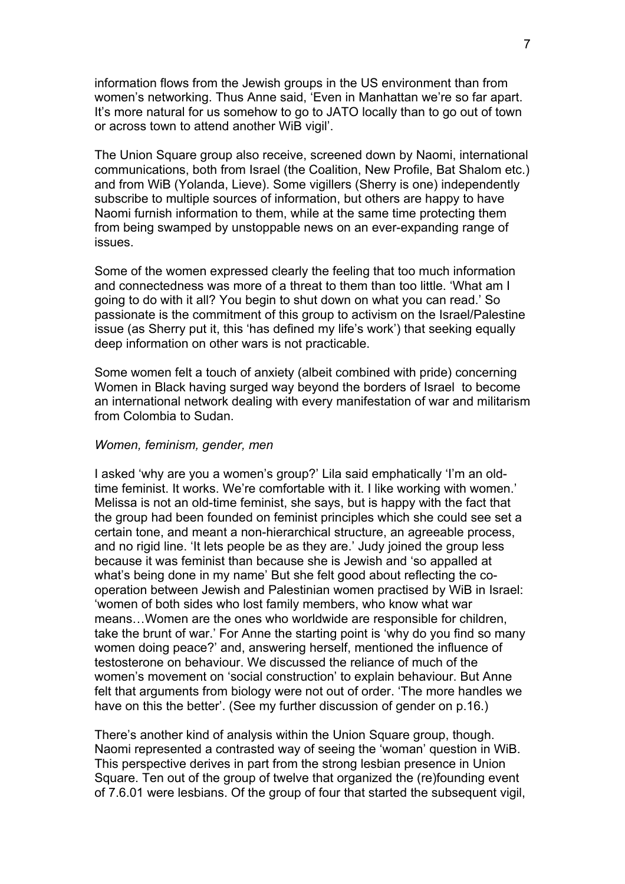information flows from the Jewish groups in the US environment than from women's networking. Thus Anne said, 'Even in Manhattan we're so far apart. It's more natural for us somehow to go to JATO locally than to go out of town or across town to attend another WiB vigil'.

The Union Square group also receive, screened down by Naomi, international communications, both from Israel (the Coalition, New Profile, Bat Shalom etc.) and from WiB (Yolanda, Lieve). Some vigillers (Sherry is one) independently subscribe to multiple sources of information, but others are happy to have Naomi furnish information to them, while at the same time protecting them from being swamped by unstoppable news on an ever-expanding range of issues.

Some of the women expressed clearly the feeling that too much information and connectedness was more of a threat to them than too little. 'What am I going to do with it all? You begin to shut down on what you can read.' So passionate is the commitment of this group to activism on the Israel/Palestine issue (as Sherry put it, this 'has defined my life's work') that seeking equally deep information on other wars is not practicable.

Some women felt a touch of anxiety (albeit combined with pride) concerning Women in Black having surged way beyond the borders of Israel to become an international network dealing with every manifestation of war and militarism from Colombia to Sudan.

#### *Women, feminism, gender, men*

I asked 'why are you a women's group?' Lila said emphatically 'I'm an oldtime feminist. It works. We're comfortable with it. I like working with women.' Melissa is not an old-time feminist, she says, but is happy with the fact that the group had been founded on feminist principles which she could see set a certain tone, and meant a non-hierarchical structure, an agreeable process, and no rigid line. 'It lets people be as they are.' Judy joined the group less because it was feminist than because she is Jewish and 'so appalled at what's being done in my name' But she felt good about reflecting the cooperation between Jewish and Palestinian women practised by WiB in Israel: 'women of both sides who lost family members, who know what war means…Women are the ones who worldwide are responsible for children, take the brunt of war.' For Anne the starting point is 'why do you find so many women doing peace?' and, answering herself, mentioned the influence of testosterone on behaviour. We discussed the reliance of much of the women's movement on 'social construction' to explain behaviour. But Anne felt that arguments from biology were not out of order. 'The more handles we have on this the better'. (See my further discussion of gender on p.16.)

There's another kind of analysis within the Union Square group, though. Naomi represented a contrasted way of seeing the 'woman' question in WiB. This perspective derives in part from the strong lesbian presence in Union Square. Ten out of the group of twelve that organized the (re)founding event of 7.6.01 were lesbians. Of the group of four that started the subsequent vigil,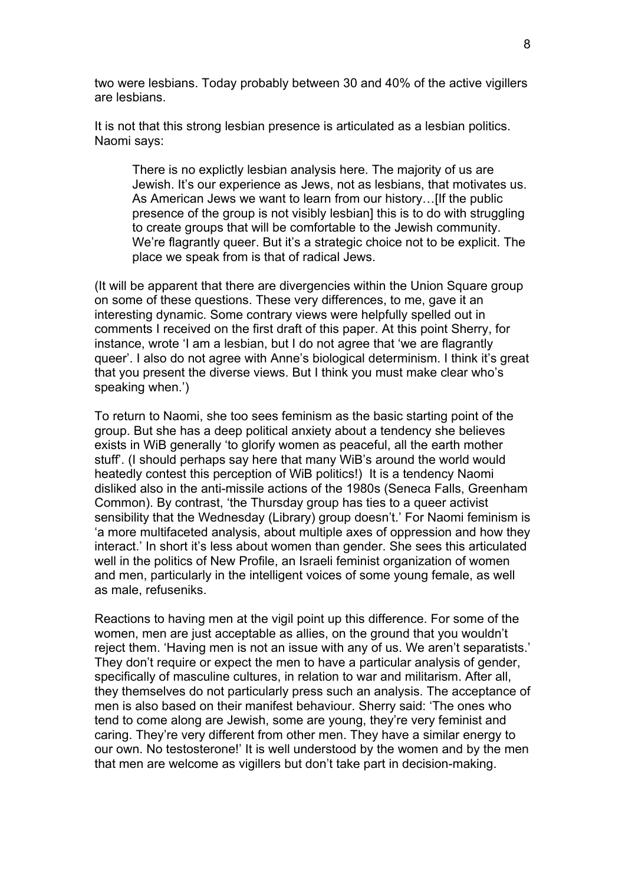two were lesbians. Today probably between 30 and 40% of the active vigillers are lesbians.

It is not that this strong lesbian presence is articulated as a lesbian politics. Naomi says:

There is no explictly lesbian analysis here. The majority of us are Jewish. It's our experience as Jews, not as lesbians, that motivates us. As American Jews we want to learn from our history…[If the public presence of the group is not visibly lesbian] this is to do with struggling to create groups that will be comfortable to the Jewish community. We're flagrantly queer. But it's a strategic choice not to be explicit. The place we speak from is that of radical Jews.

(It will be apparent that there are divergencies within the Union Square group on some of these questions. These very differences, to me, gave it an interesting dynamic. Some contrary views were helpfully spelled out in comments I received on the first draft of this paper. At this point Sherry, for instance, wrote 'I am a lesbian, but I do not agree that 'we are flagrantly queer'. I also do not agree with Anne's biological determinism. I think it's great that you present the diverse views. But I think you must make clear who's speaking when.')

To return to Naomi, she too sees feminism as the basic starting point of the group. But she has a deep political anxiety about a tendency she believes exists in WiB generally 'to glorify women as peaceful, all the earth mother stuff'. (I should perhaps say here that many WiB's around the world would heatedly contest this perception of WiB politics!) It is a tendency Naomi disliked also in the anti-missile actions of the 1980s (Seneca Falls, Greenham Common). By contrast, 'the Thursday group has ties to a queer activist sensibility that the Wednesday (Library) group doesn't.' For Naomi feminism is 'a more multifaceted analysis, about multiple axes of oppression and how they interact.' In short it's less about women than gender. She sees this articulated well in the politics of New Profile, an Israeli feminist organization of women and men, particularly in the intelligent voices of some young female, as well as male, refuseniks.

Reactions to having men at the vigil point up this difference. For some of the women, men are just acceptable as allies, on the ground that you wouldn't reject them. 'Having men is not an issue with any of us. We aren't separatists.' They don't require or expect the men to have a particular analysis of gender, specifically of masculine cultures, in relation to war and militarism. After all, they themselves do not particularly press such an analysis. The acceptance of men is also based on their manifest behaviour. Sherry said: 'The ones who tend to come along are Jewish, some are young, they're very feminist and caring. They're very different from other men. They have a similar energy to our own. No testosterone!' It is well understood by the women and by the men that men are welcome as vigillers but don't take part in decision-making.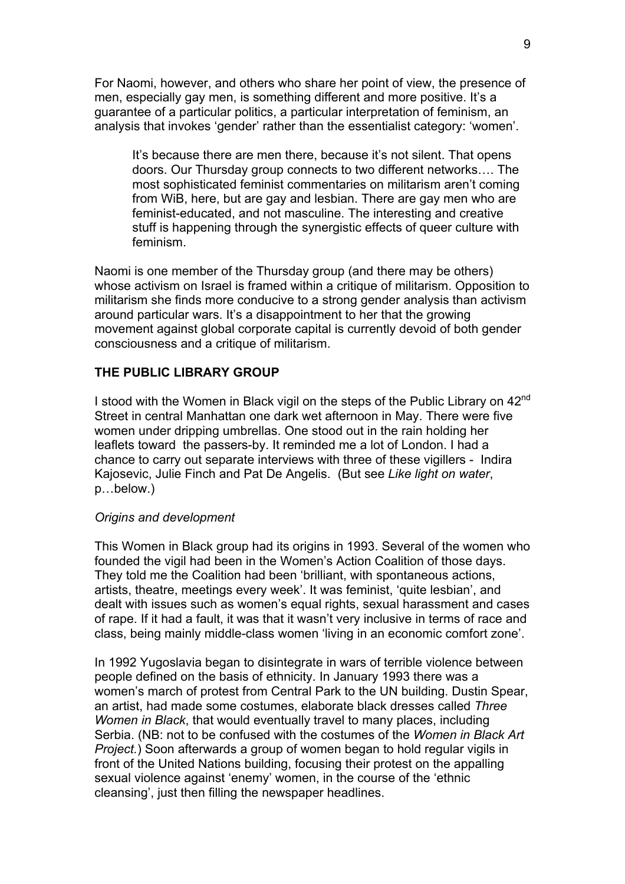For Naomi, however, and others who share her point of view, the presence of men, especially gay men, is something different and more positive. It's a guarantee of a particular politics, a particular interpretation of feminism, an analysis that invokes 'gender' rather than the essentialist category: 'women'.

It's because there are men there, because it's not silent. That opens doors. Our Thursday group connects to two different networks…. The most sophisticated feminist commentaries on militarism aren't coming from WiB, here, but are gay and lesbian. There are gay men who are feminist-educated, and not masculine. The interesting and creative stuff is happening through the synergistic effects of queer culture with feminism.

Naomi is one member of the Thursday group (and there may be others) whose activism on Israel is framed within a critique of militarism. Opposition to militarism she finds more conducive to a strong gender analysis than activism around particular wars. It's a disappointment to her that the growing movement against global corporate capital is currently devoid of both gender consciousness and a critique of militarism.

## **THE PUBLIC LIBRARY GROUP**

I stood with the Women in Black vigil on the steps of the Public Library on 42<sup>nd</sup> Street in central Manhattan one dark wet afternoon in May. There were five women under dripping umbrellas. One stood out in the rain holding her leaflets toward the passers-by. It reminded me a lot of London. I had a chance to carry out separate interviews with three of these vigillers - Indira Kajosevic, Julie Finch and Pat De Angelis. (But see *Like light on water*, p…below.)

#### *Origins and development*

This Women in Black group had its origins in 1993. Several of the women who founded the vigil had been in the Women's Action Coalition of those days. They told me the Coalition had been 'brilliant, with spontaneous actions, artists, theatre, meetings every week'. It was feminist, 'quite lesbian', and dealt with issues such as women's equal rights, sexual harassment and cases of rape. If it had a fault, it was that it wasn't very inclusive in terms of race and class, being mainly middle-class women 'living in an economic comfort zone'.

In 1992 Yugoslavia began to disintegrate in wars of terrible violence between people defined on the basis of ethnicity. In January 1993 there was a women's march of protest from Central Park to the UN building. Dustin Spear, an artist, had made some costumes, elaborate black dresses called *Three Women in Black*, that would eventually travel to many places, including Serbia. (NB: not to be confused with the costumes of the *Women in Black Art Project.*) Soon afterwards a group of women began to hold regular vigils in front of the United Nations building, focusing their protest on the appalling sexual violence against 'enemy' women, in the course of the 'ethnic cleansing', just then filling the newspaper headlines.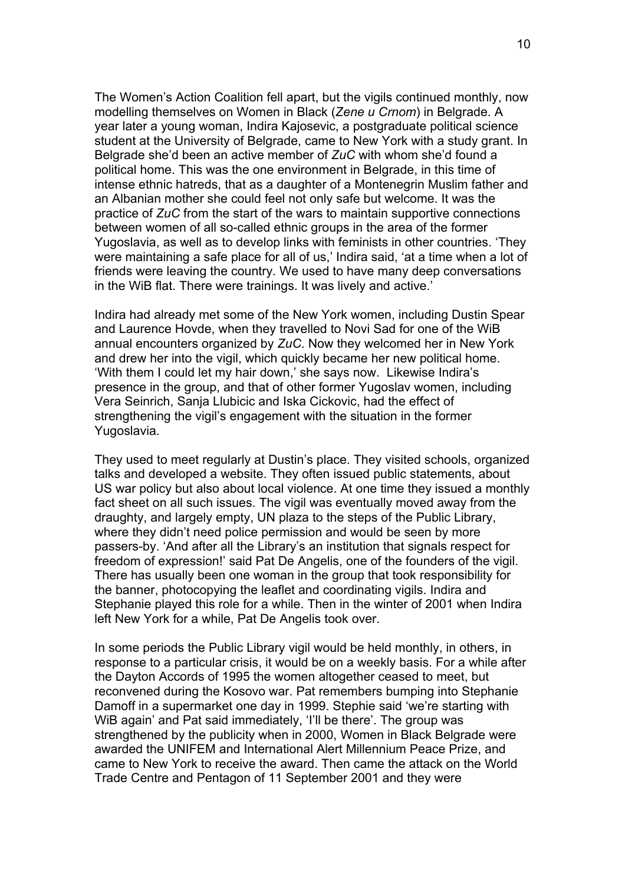The Women's Action Coalition fell apart, but the vigils continued monthly, now modelling themselves on Women in Black (*Zene u Crnom*) in Belgrade. A year later a young woman, Indira Kajosevic, a postgraduate political science student at the University of Belgrade, came to New York with a study grant. In Belgrade she'd been an active member of *ZuC* with whom she'd found a political home. This was the one environment in Belgrade, in this time of intense ethnic hatreds, that as a daughter of a Montenegrin Muslim father and an Albanian mother she could feel not only safe but welcome. It was the practice of *ZuC* from the start of the wars to maintain supportive connections between women of all so-called ethnic groups in the area of the former Yugoslavia, as well as to develop links with feminists in other countries. 'They were maintaining a safe place for all of us,' Indira said, 'at a time when a lot of friends were leaving the country. We used to have many deep conversations in the WiB flat. There were trainings. It was lively and active.'

Indira had already met some of the New York women, including Dustin Spear and Laurence Hovde, when they travelled to Novi Sad for one of the WiB annual encounters organized by *ZuC*. Now they welcomed her in New York and drew her into the vigil, which quickly became her new political home. 'With them I could let my hair down,' she says now. Likewise Indira's presence in the group, and that of other former Yugoslav women, including Vera Seinrich, Sanja Llubicic and Iska Cickovic, had the effect of strengthening the vigil's engagement with the situation in the former Yugoslavia.

They used to meet regularly at Dustin's place. They visited schools, organized talks and developed a website. They often issued public statements, about US war policy but also about local violence. At one time they issued a monthly fact sheet on all such issues. The vigil was eventually moved away from the draughty, and largely empty, UN plaza to the steps of the Public Library, where they didn't need police permission and would be seen by more passers-by. 'And after all the Library's an institution that signals respect for freedom of expression!' said Pat De Angelis, one of the founders of the vigil. There has usually been one woman in the group that took responsibility for the banner, photocopying the leaflet and coordinating vigils. Indira and Stephanie played this role for a while. Then in the winter of 2001 when Indira left New York for a while, Pat De Angelis took over.

In some periods the Public Library vigil would be held monthly, in others, in response to a particular crisis, it would be on a weekly basis. For a while after the Dayton Accords of 1995 the women altogether ceased to meet, but reconvened during the Kosovo war. Pat remembers bumping into Stephanie Damoff in a supermarket one day in 1999. Stephie said 'we're starting with WiB again' and Pat said immediately, 'I'll be there'. The group was strengthened by the publicity when in 2000, Women in Black Belgrade were awarded the UNIFEM and International Alert Millennium Peace Prize, and came to New York to receive the award. Then came the attack on the World Trade Centre and Pentagon of 11 September 2001 and they were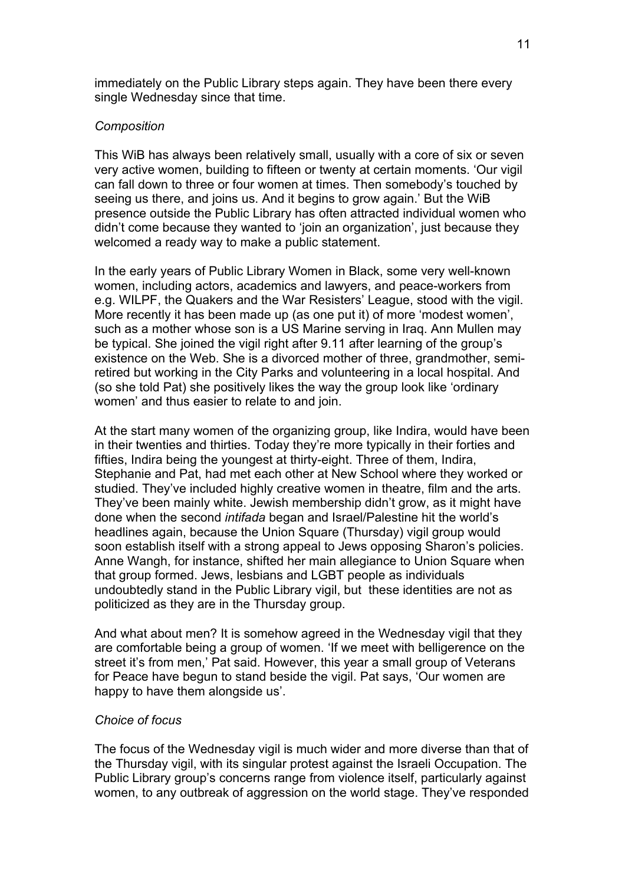immediately on the Public Library steps again. They have been there every single Wednesday since that time.

# *Composition*

This WiB has always been relatively small, usually with a core of six or seven very active women, building to fifteen or twenty at certain moments. 'Our vigil can fall down to three or four women at times. Then somebody's touched by seeing us there, and joins us. And it begins to grow again.' But the WiB presence outside the Public Library has often attracted individual women who didn't come because they wanted to 'join an organization', just because they welcomed a ready way to make a public statement.

In the early years of Public Library Women in Black, some very well-known women, including actors, academics and lawyers, and peace-workers from e.g. WILPF, the Quakers and the War Resisters' League, stood with the vigil. More recently it has been made up (as one put it) of more 'modest women', such as a mother whose son is a US Marine serving in Iraq. Ann Mullen may be typical. She joined the vigil right after 9.11 after learning of the group's existence on the Web. She is a divorced mother of three, grandmother, semiretired but working in the City Parks and volunteering in a local hospital. And (so she told Pat) she positively likes the way the group look like 'ordinary women' and thus easier to relate to and join.

At the start many women of the organizing group, like Indira, would have been in their twenties and thirties. Today they're more typically in their forties and fifties, Indira being the youngest at thirty-eight. Three of them, Indira, Stephanie and Pat, had met each other at New School where they worked or studied. They've included highly creative women in theatre, film and the arts. They've been mainly white. Jewish membership didn't grow, as it might have done when the second *intifada* began and Israel/Palestine hit the world's headlines again, because the Union Square (Thursday) vigil group would soon establish itself with a strong appeal to Jews opposing Sharon's policies. Anne Wangh, for instance, shifted her main allegiance to Union Square when that group formed. Jews, lesbians and LGBT people as individuals undoubtedly stand in the Public Library vigil, but these identities are not as politicized as they are in the Thursday group.

And what about men? It is somehow agreed in the Wednesday vigil that they are comfortable being a group of women. 'If we meet with belligerence on the street it's from men,' Pat said. However, this year a small group of Veterans for Peace have begun to stand beside the vigil. Pat says, 'Our women are happy to have them alongside us'.

### *Choice of focus*

The focus of the Wednesday vigil is much wider and more diverse than that of the Thursday vigil, with its singular protest against the Israeli Occupation. The Public Library group's concerns range from violence itself, particularly against women, to any outbreak of aggression on the world stage. They've responded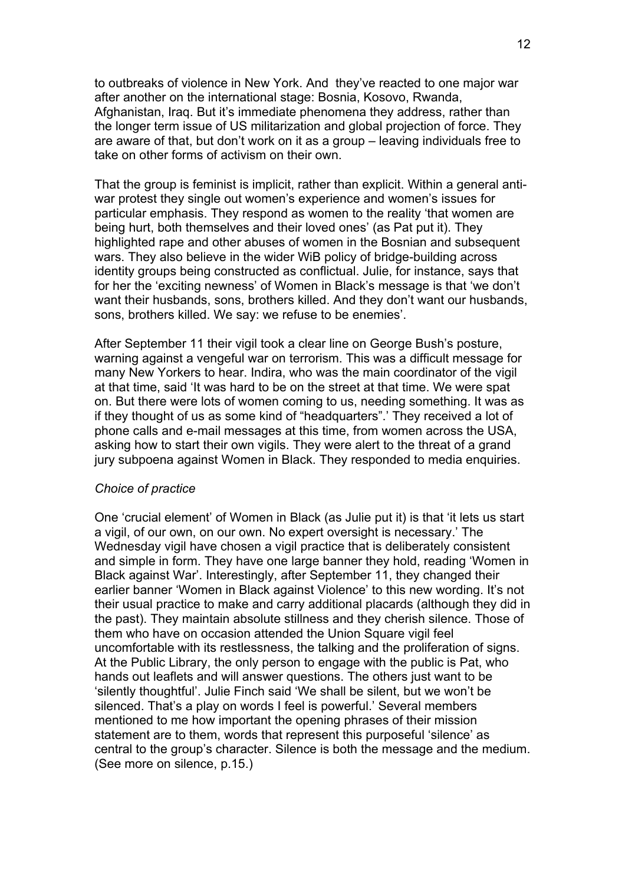to outbreaks of violence in New York. And they've reacted to one major war after another on the international stage: Bosnia, Kosovo, Rwanda, Afghanistan, Iraq. But it's immediate phenomena they address, rather than the longer term issue of US militarization and global projection of force. They are aware of that, but don't work on it as a group – leaving individuals free to take on other forms of activism on their own.

That the group is feminist is implicit, rather than explicit. Within a general antiwar protest they single out women's experience and women's issues for particular emphasis. They respond as women to the reality 'that women are being hurt, both themselves and their loved ones' (as Pat put it). They highlighted rape and other abuses of women in the Bosnian and subsequent wars. They also believe in the wider WiB policy of bridge-building across identity groups being constructed as conflictual. Julie, for instance, says that for her the 'exciting newness' of Women in Black's message is that 'we don't want their husbands, sons, brothers killed. And they don't want our husbands, sons, brothers killed. We say: we refuse to be enemies'.

After September 11 their vigil took a clear line on George Bush's posture, warning against a vengeful war on terrorism. This was a difficult message for many New Yorkers to hear. Indira, who was the main coordinator of the vigil at that time, said 'It was hard to be on the street at that time. We were spat on. But there were lots of women coming to us, needing something. It was as if they thought of us as some kind of "headquarters".' They received a lot of phone calls and e-mail messages at this time, from women across the USA, asking how to start their own vigils. They were alert to the threat of a grand jury subpoena against Women in Black. They responded to media enquiries.

#### *Choice of practice*

One 'crucial element' of Women in Black (as Julie put it) is that 'it lets us start a vigil, of our own, on our own. No expert oversight is necessary.' The Wednesday vigil have chosen a vigil practice that is deliberately consistent and simple in form. They have one large banner they hold, reading 'Women in Black against War'. Interestingly, after September 11, they changed their earlier banner 'Women in Black against Violence' to this new wording. It's not their usual practice to make and carry additional placards (although they did in the past). They maintain absolute stillness and they cherish silence. Those of them who have on occasion attended the Union Square vigil feel uncomfortable with its restlessness, the talking and the proliferation of signs. At the Public Library, the only person to engage with the public is Pat, who hands out leaflets and will answer questions. The others just want to be 'silently thoughtful'. Julie Finch said 'We shall be silent, but we won't be silenced. That's a play on words I feel is powerful.' Several members mentioned to me how important the opening phrases of their mission statement are to them, words that represent this purposeful 'silence' as central to the group's character. Silence is both the message and the medium. (See more on silence, p.15.)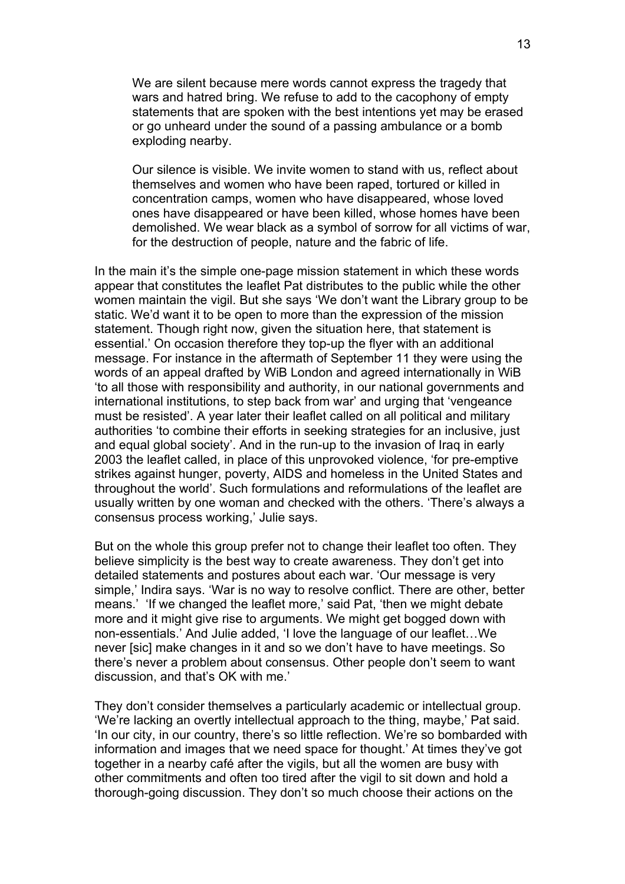We are silent because mere words cannot express the tragedy that wars and hatred bring. We refuse to add to the cacophony of empty statements that are spoken with the best intentions yet may be erased or go unheard under the sound of a passing ambulance or a bomb exploding nearby.

Our silence is visible. We invite women to stand with us, reflect about themselves and women who have been raped, tortured or killed in concentration camps, women who have disappeared, whose loved ones have disappeared or have been killed, whose homes have been demolished. We wear black as a symbol of sorrow for all victims of war, for the destruction of people, nature and the fabric of life.

In the main it's the simple one-page mission statement in which these words appear that constitutes the leaflet Pat distributes to the public while the other women maintain the vigil. But she says 'We don't want the Library group to be static. We'd want it to be open to more than the expression of the mission statement. Though right now, given the situation here, that statement is essential.' On occasion therefore they top-up the flyer with an additional message. For instance in the aftermath of September 11 they were using the words of an appeal drafted by WiB London and agreed internationally in WiB 'to all those with responsibility and authority, in our national governments and international institutions, to step back from war' and urging that 'vengeance must be resisted'. A year later their leaflet called on all political and military authorities 'to combine their efforts in seeking strategies for an inclusive, just and equal global society'. And in the run-up to the invasion of Iraq in early 2003 the leaflet called, in place of this unprovoked violence, 'for pre-emptive strikes against hunger, poverty, AIDS and homeless in the United States and throughout the world'. Such formulations and reformulations of the leaflet are usually written by one woman and checked with the others. 'There's always a consensus process working,' Julie says.

But on the whole this group prefer not to change their leaflet too often. They believe simplicity is the best way to create awareness. They don't get into detailed statements and postures about each war. 'Our message is very simple,' Indira says. 'War is no way to resolve conflict. There are other, better means.' 'If we changed the leaflet more,' said Pat, 'then we might debate more and it might give rise to arguments. We might get bogged down with non-essentials.' And Julie added, 'I love the language of our leaflet…We never [sic] make changes in it and so we don't have to have meetings. So there's never a problem about consensus. Other people don't seem to want discussion, and that's OK with me.'

They don't consider themselves a particularly academic or intellectual group. 'We're lacking an overtly intellectual approach to the thing, maybe,' Pat said. 'In our city, in our country, there's so little reflection. We're so bombarded with information and images that we need space for thought.' At times they've got together in a nearby café after the vigils, but all the women are busy with other commitments and often too tired after the vigil to sit down and hold a thorough-going discussion. They don't so much choose their actions on the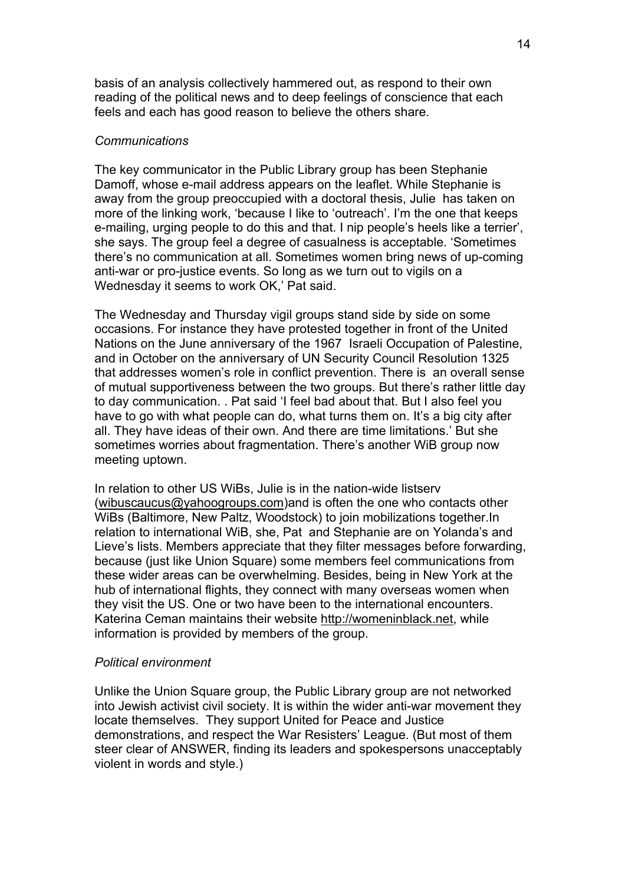basis of an analysis collectively hammered out, as respond to their own reading of the political news and to deep feelings of conscience that each feels and each has good reason to believe the others share.

#### *Communications*

The key communicator in the Public Library group has been Stephanie Damoff, whose e-mail address appears on the leaflet. While Stephanie is away from the group preoccupied with a doctoral thesis, Julie has taken on more of the linking work, 'because I like to 'outreach'. I'm the one that keeps e-mailing, urging people to do this and that. I nip people's heels like a terrier', she says. The group feel a degree of casualness is acceptable. 'Sometimes there's no communication at all. Sometimes women bring news of up-coming anti-war or pro-justice events. So long as we turn out to vigils on a Wednesday it seems to work OK,' Pat said.

The Wednesday and Thursday vigil groups stand side by side on some occasions. For instance they have protested together in front of the United Nations on the June anniversary of the 1967 Israeli Occupation of Palestine, and in October on the anniversary of UN Security Council Resolution 1325 that addresses women's role in conflict prevention. There is an overall sense of mutual supportiveness between the two groups. But there's rather little day to day communication. . Pat said 'I feel bad about that. But I also feel you have to go with what people can do, what turns them on. It's a big city after all. They have ideas of their own. And there are time limitations.' But she sometimes worries about fragmentation. There's another WiB group now meeting uptown.

In relation to other US WiBs, Julie is in the nation-wide listserv ([wibuscaucus@yahoogroups.com](mailto:wibuscaucus@yahoogroups.com))and is often the one who contacts other WiBs (Baltimore, New Paltz, Woodstock) to join mobilizations together.In relation to international WiB, she, Pat and Stephanie are on Yolanda's and Lieve's lists. Members appreciate that they filter messages before forwarding, because (just like Union Square) some members feel communications from these wider areas can be overwhelming. Besides, being in New York at the hub of international flights, they connect with many overseas women when they visit the US. One or two have been to the international encounters. Katerina Ceman maintains their website [http://womeninblack.net](http://womeninblack.net/), while information is provided by members of the group.

#### *Political environment*

Unlike the Union Square group, the Public Library group are not networked into Jewish activist civil society. It is within the wider anti-war movement they locate themselves. They support United for Peace and Justice demonstrations, and respect the War Resisters' League. (But most of them steer clear of ANSWER, finding its leaders and spokespersons unacceptably violent in words and style.)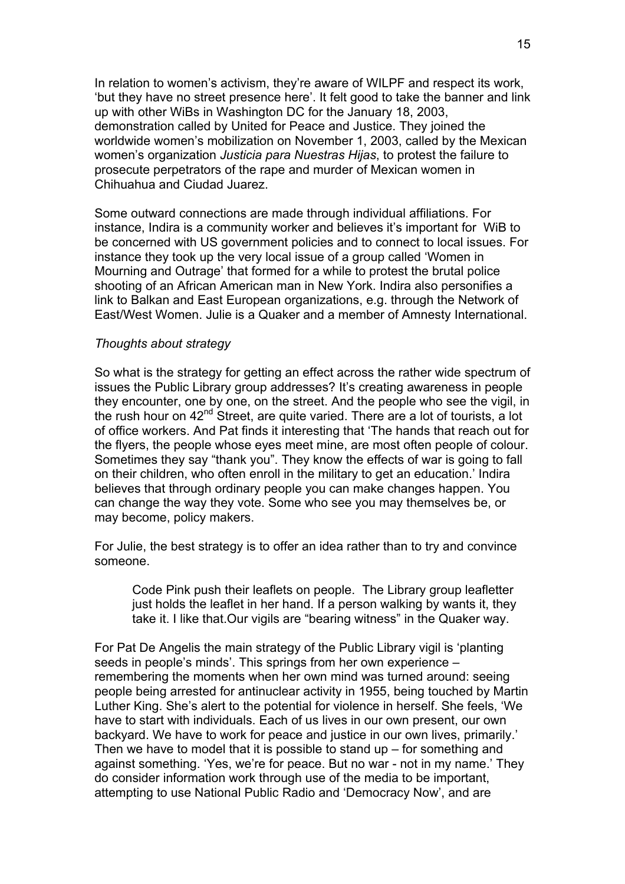In relation to women's activism, they're aware of WILPF and respect its work, 'but they have no street presence here'. It felt good to take the banner and link up with other WiBs in Washington DC for the January 18, 2003, demonstration called by United for Peace and Justice. They joined the worldwide women's mobilization on November 1, 2003, called by the Mexican women's organization *Justicia para Nuestras Hijas*, to protest the failure to prosecute perpetrators of the rape and murder of Mexican women in Chihuahua and Ciudad Juarez.

Some outward connections are made through individual affiliations. For instance, Indira is a community worker and believes it's important for WiB to be concerned with US government policies and to connect to local issues. For instance they took up the very local issue of a group called 'Women in Mourning and Outrage' that formed for a while to protest the brutal police shooting of an African American man in New York. Indira also personifies a link to Balkan and East European organizations, e.g. through the Network of East/West Women. Julie is a Quaker and a member of Amnesty International.

#### *Thoughts about strategy*

So what is the strategy for getting an effect across the rather wide spectrum of issues the Public Library group addresses? It's creating awareness in people they encounter, one by one, on the street. And the people who see the vigil, in the rush hour on 42<sup>nd</sup> Street, are quite varied. There are a lot of tourists, a lot of office workers. And Pat finds it interesting that 'The hands that reach out for the flyers, the people whose eyes meet mine, are most often people of colour. Sometimes they say "thank you". They know the effects of war is going to fall on their children, who often enroll in the military to get an education.' Indira believes that through ordinary people you can make changes happen. You can change the way they vote. Some who see you may themselves be, or may become, policy makers.

For Julie, the best strategy is to offer an idea rather than to try and convince someone.

Code Pink push their leaflets on people. The Library group leafletter just holds the leaflet in her hand. If a person walking by wants it, they take it. I like that.Our vigils are "bearing witness" in the Quaker way.

For Pat De Angelis the main strategy of the Public Library vigil is 'planting seeds in people's minds'. This springs from her own experience – remembering the moments when her own mind was turned around: seeing people being arrested for antinuclear activity in 1955, being touched by Martin Luther King. She's alert to the potential for violence in herself. She feels, 'We have to start with individuals. Each of us lives in our own present, our own backyard. We have to work for peace and justice in our own lives, primarily.' Then we have to model that it is possible to stand up – for something and against something. 'Yes, we're for peace. But no war - not in my name.' They do consider information work through use of the media to be important, attempting to use National Public Radio and 'Democracy Now', and are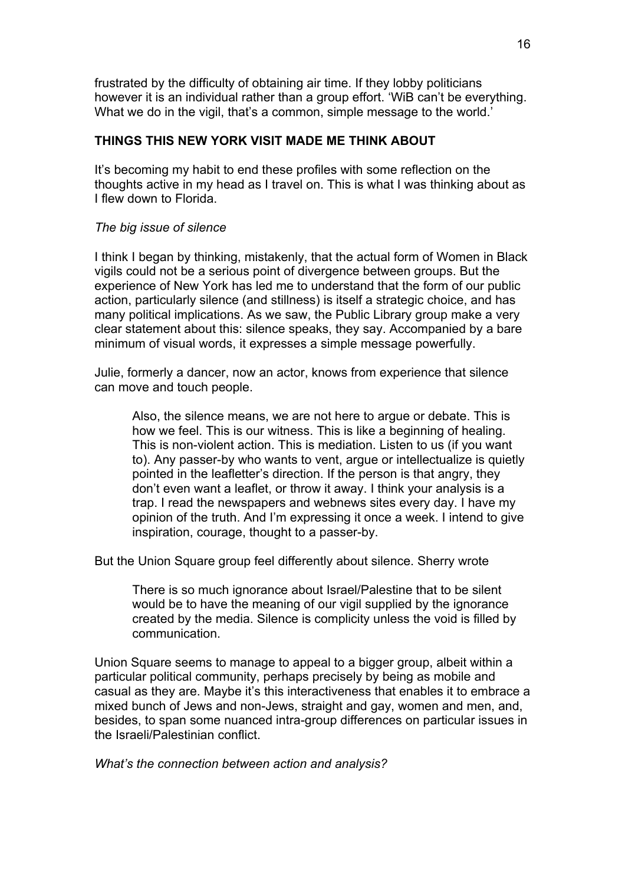frustrated by the difficulty of obtaining air time. If they lobby politicians however it is an individual rather than a group effort. 'WiB can't be everything. What we do in the vigil, that's a common, simple message to the world.'

# **THINGS THIS NEW YORK VISIT MADE ME THINK ABOUT**

It's becoming my habit to end these profiles with some reflection on the thoughts active in my head as I travel on. This is what I was thinking about as I flew down to Florida.

# *The big issue of silence*

I think I began by thinking, mistakenly, that the actual form of Women in Black vigils could not be a serious point of divergence between groups. But the experience of New York has led me to understand that the form of our public action, particularly silence (and stillness) is itself a strategic choice, and has many political implications. As we saw, the Public Library group make a very clear statement about this: silence speaks, they say. Accompanied by a bare minimum of visual words, it expresses a simple message powerfully.

Julie, formerly a dancer, now an actor, knows from experience that silence can move and touch people.

Also, the silence means, we are not here to argue or debate. This is how we feel. This is our witness. This is like a beginning of healing. This is non-violent action. This is mediation. Listen to us (if you want to). Any passer-by who wants to vent, argue or intellectualize is quietly pointed in the leafletter's direction. If the person is that angry, they don't even want a leaflet, or throw it away. I think your analysis is a trap. I read the newspapers and webnews sites every day. I have my opinion of the truth. And I'm expressing it once a week. I intend to give inspiration, courage, thought to a passer-by.

But the Union Square group feel differently about silence. Sherry wrote

There is so much ignorance about Israel/Palestine that to be silent would be to have the meaning of our vigil supplied by the ignorance created by the media. Silence is complicity unless the void is filled by communication.

Union Square seems to manage to appeal to a bigger group, albeit within a particular political community, perhaps precisely by being as mobile and casual as they are. Maybe it's this interactiveness that enables it to embrace a mixed bunch of Jews and non-Jews, straight and gay, women and men, and, besides, to span some nuanced intra-group differences on particular issues in the Israeli/Palestinian conflict.

*What's the connection between action and analysis?*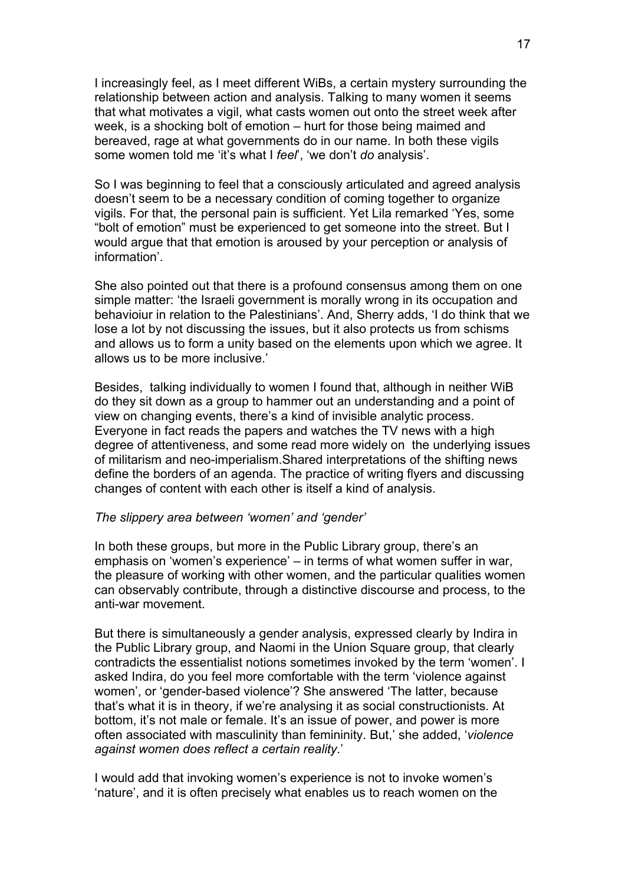I increasingly feel, as I meet different WiBs, a certain mystery surrounding the relationship between action and analysis. Talking to many women it seems that what motivates a vigil, what casts women out onto the street week after week, is a shocking bolt of emotion – hurt for those being maimed and bereaved, rage at what governments do in our name. In both these vigils some women told me 'it's what I *feel*', 'we don't *do* analysis'.

So I was beginning to feel that a consciously articulated and agreed analysis doesn't seem to be a necessary condition of coming together to organize vigils. For that, the personal pain is sufficient. Yet Lila remarked 'Yes, some "bolt of emotion" must be experienced to get someone into the street. But I would argue that that emotion is aroused by your perception or analysis of information'.

She also pointed out that there is a profound consensus among them on one simple matter: 'the Israeli government is morally wrong in its occupation and behavioiur in relation to the Palestinians'. And, Sherry adds, 'I do think that we lose a lot by not discussing the issues, but it also protects us from schisms and allows us to form a unity based on the elements upon which we agree. It allows us to be more inclusive.'

Besides, talking individually to women I found that, although in neither WiB do they sit down as a group to hammer out an understanding and a point of view on changing events, there's a kind of invisible analytic process. Everyone in fact reads the papers and watches the TV news with a high degree of attentiveness, and some read more widely on the underlying issues of militarism and neo-imperialism.Shared interpretations of the shifting news define the borders of an agenda. The practice of writing flyers and discussing changes of content with each other is itself a kind of analysis.

### *The slippery area between 'women' and 'gender'*

In both these groups, but more in the Public Library group, there's an emphasis on 'women's experience' – in terms of what women suffer in war, the pleasure of working with other women, and the particular qualities women can observably contribute, through a distinctive discourse and process, to the anti-war movement.

But there is simultaneously a gender analysis, expressed clearly by Indira in the Public Library group, and Naomi in the Union Square group, that clearly contradicts the essentialist notions sometimes invoked by the term 'women'. I asked Indira, do you feel more comfortable with the term 'violence against women', or 'gender-based violence'? She answered 'The latter, because that's what it is in theory, if we're analysing it as social constructionists. At bottom, it's not male or female. It's an issue of power, and power is more often associated with masculinity than femininity. But,' she added, '*violence against women does reflect a certain reality*.'

I would add that invoking women's experience is not to invoke women's 'nature', and it is often precisely what enables us to reach women on the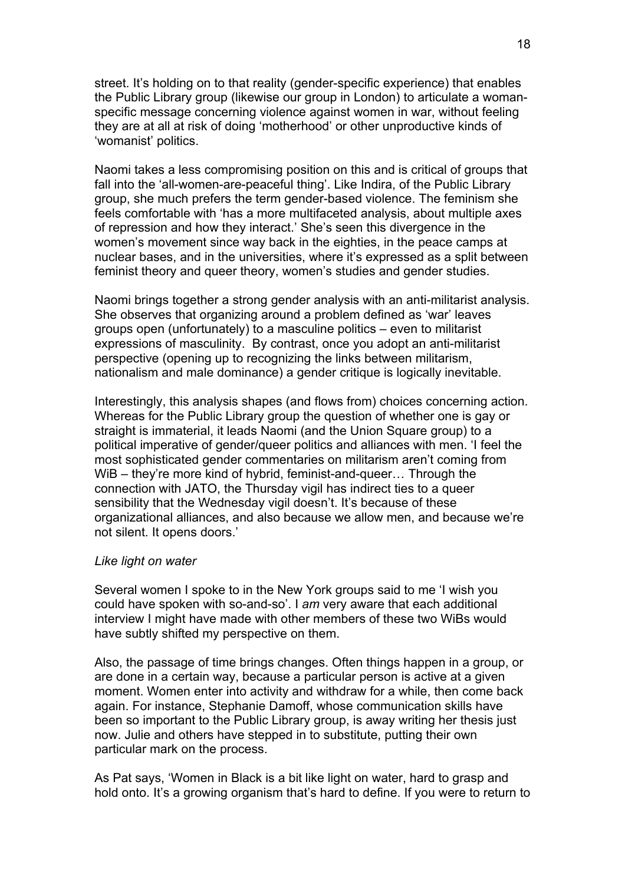street. It's holding on to that reality (gender-specific experience) that enables the Public Library group (likewise our group in London) to articulate a womanspecific message concerning violence against women in war, without feeling they are at all at risk of doing 'motherhood' or other unproductive kinds of 'womanist' politics.

Naomi takes a less compromising position on this and is critical of groups that fall into the 'all-women-are-peaceful thing'. Like Indira, of the Public Library group, she much prefers the term gender-based violence. The feminism she feels comfortable with 'has a more multifaceted analysis, about multiple axes of repression and how they interact.' She's seen this divergence in the women's movement since way back in the eighties, in the peace camps at nuclear bases, and in the universities, where it's expressed as a split between feminist theory and queer theory, women's studies and gender studies.

Naomi brings together a strong gender analysis with an anti-militarist analysis. She observes that organizing around a problem defined as 'war' leaves groups open (unfortunately) to a masculine politics – even to militarist expressions of masculinity. By contrast, once you adopt an anti-militarist perspective (opening up to recognizing the links between militarism, nationalism and male dominance) a gender critique is logically inevitable.

Interestingly, this analysis shapes (and flows from) choices concerning action. Whereas for the Public Library group the question of whether one is gay or straight is immaterial, it leads Naomi (and the Union Square group) to a political imperative of gender/queer politics and alliances with men. 'I feel the most sophisticated gender commentaries on militarism aren't coming from WiB – they're more kind of hybrid, feminist-and-queer… Through the connection with JATO, the Thursday vigil has indirect ties to a queer sensibility that the Wednesday vigil doesn't. It's because of these organizational alliances, and also because we allow men, and because we're not silent. It opens doors.'

#### *Like light on water*

Several women I spoke to in the New York groups said to me 'I wish you could have spoken with so-and-so'. I *am* very aware that each additional interview I might have made with other members of these two WiBs would have subtly shifted my perspective on them.

Also, the passage of time brings changes. Often things happen in a group, or are done in a certain way, because a particular person is active at a given moment. Women enter into activity and withdraw for a while, then come back again. For instance, Stephanie Damoff, whose communication skills have been so important to the Public Library group, is away writing her thesis just now. Julie and others have stepped in to substitute, putting their own particular mark on the process.

As Pat says, 'Women in Black is a bit like light on water, hard to grasp and hold onto. It's a growing organism that's hard to define. If you were to return to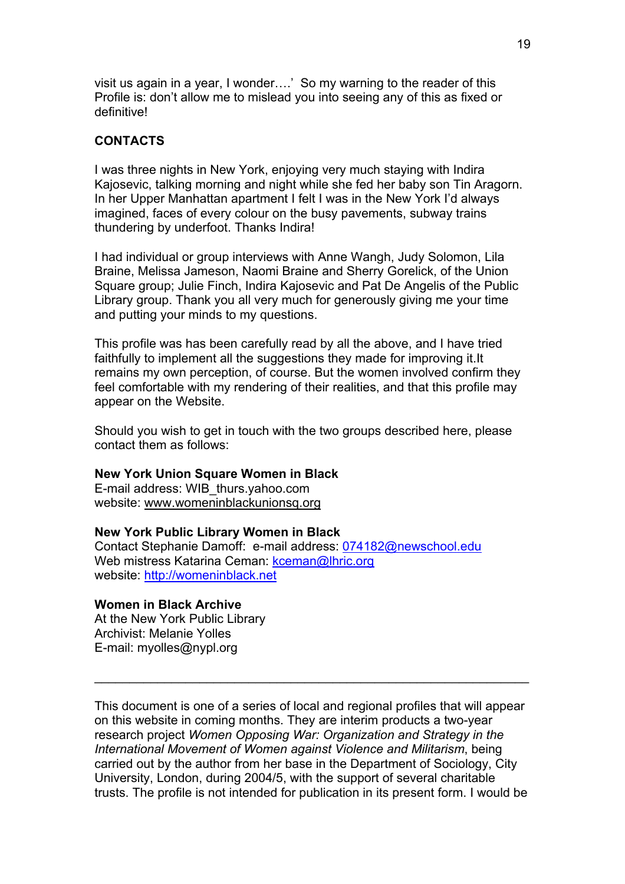visit us again in a year, I wonder….' So my warning to the reader of this Profile is: don't allow me to mislead you into seeing any of this as fixed or definitive!

# **CONTACTS**

I was three nights in New York, enjoying very much staying with Indira Kajosevic, talking morning and night while she fed her baby son Tin Aragorn. In her Upper Manhattan apartment I felt I was in the New York I'd always imagined, faces of every colour on the busy pavements, subway trains thundering by underfoot. Thanks Indira!

I had individual or group interviews with Anne Wangh, Judy Solomon, Lila Braine, Melissa Jameson, Naomi Braine and Sherry Gorelick, of the Union Square group; Julie Finch, Indira Kajosevic and Pat De Angelis of the Public Library group. Thank you all very much for generously giving me your time and putting your minds to my questions.

This profile was has been carefully read by all the above, and I have tried faithfully to implement all the suggestions they made for improving it.It remains my own perception, of course. But the women involved confirm they feel comfortable with my rendering of their realities, and that this profile may appear on the Website.

Should you wish to get in touch with the two groups described here, please contact them as follows:

#### **New York Union Square Women in Black**

E-mail address: WIB\_thurs.yahoo.com website: [www.womeninblackunionsq.org](http://www.womeninblackunionsq.org/)

#### **New York Public Library Women in Black**

Contact Stephanie Damoff: e-mail address: [074182@newschool.edu](mailto:074182@newschool.edu) Web mistress Katarina Ceman: [kceman@lhric.org](mailto:kceman@lhric.org) website: [http://womeninblack.net](http://womeninblack.net/)

### **Women in Black Archive**

At the New York Public Library Archivist: Melanie Yolles E-mail: myolles@nypl.org

This document is one of a series of local and regional profiles that will appear on this website in coming months. They are interim products a two-year research project *Women Opposing War: Organization and Strategy in the International Movement of Women against Violence and Militarism*, being carried out by the author from her base in the Department of Sociology, City University, London, during 2004/5, with the support of several charitable trusts. The profile is not intended for publication in its present form. I would be

 $\mathcal{L}_\text{max}$  , and the contract of the contract of the contract of the contract of the contract of the contract of the contract of the contract of the contract of the contract of the contract of the contract of the contr